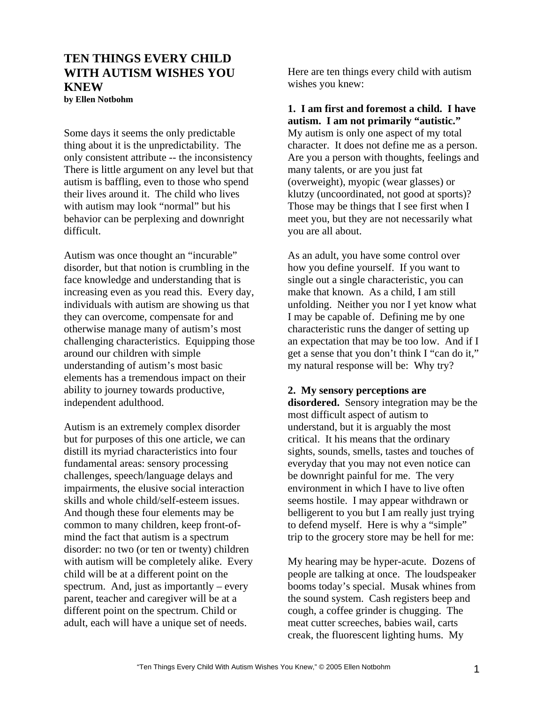# **TEN THINGS EVERY CHILD WITH AUTISM WISHES YOU KNEW**

**by Ellen Notbohm** 

Some days it seems the only predictable thing about it is the unpredictability. The only consistent attribute -- the inconsistency There is little argument on any level but that autism is baffling, even to those who spend their lives around it. The child who lives with autism may look "normal" but his behavior can be perplexing and downright difficult.

Autism was once thought an "incurable" disorder, but that notion is crumbling in the face knowledge and understanding that is increasing even as you read this. Every day, individuals with autism are showing us that they can overcome, compensate for and otherwise manage many of autism's most challenging characteristics. Equipping those around our children with simple understanding of autism's most basic elements has a tremendous impact on their ability to journey towards productive, independent adulthood.

Autism is an extremely complex disorder but for purposes of this one article, we can distill its myriad characteristics into four fundamental areas: sensory processing challenges, speech/language delays and impairments, the elusive social interaction skills and whole child/self-esteem issues. And though these four elements may be common to many children, keep front-ofmind the fact that autism is a spectrum disorder: no two (or ten or twenty) children with autism will be completely alike. Every child will be at a different point on the spectrum. And, just as importantly – every parent, teacher and caregiver will be at a different point on the spectrum. Child or adult, each will have a unique set of needs.

Here are ten things every child with autism wishes you knew:

**1. I am first and foremost a child. I have autism. I am not primarily "autistic."** My autism is only one aspect of my total character. It does not define me as a person. Are you a person with thoughts, feelings and many talents, or are you just fat (overweight), myopic (wear glasses) or klutzy (uncoordinated, not good at sports)? Those may be things that I see first when I meet you, but they are not necessarily what you are all about.

As an adult, you have some control over how you define yourself. If you want to single out a single characteristic, you can make that known. As a child, I am still unfolding. Neither you nor I yet know what I may be capable of. Defining me by one characteristic runs the danger of setting up an expectation that may be too low. And if I get a sense that you don't think I "can do it," my natural response will be: Why try?

### **2. My sensory perceptions are**

**disordered.** Sensory integration may be the most difficult aspect of autism to understand, but it is arguably the most critical. It his means that the ordinary sights, sounds, smells, tastes and touches of everyday that you may not even notice can be downright painful for me. The very environment in which I have to live often seems hostile. I may appear withdrawn or belligerent to you but I am really just trying to defend myself. Here is why a "simple" trip to the grocery store may be hell for me:

My hearing may be hyper-acute. Dozens of people are talking at once. The loudspeaker booms today's special. Musak whines from the sound system. Cash registers beep and cough, a coffee grinder is chugging. The meat cutter screeches, babies wail, carts creak, the fluorescent lighting hums. My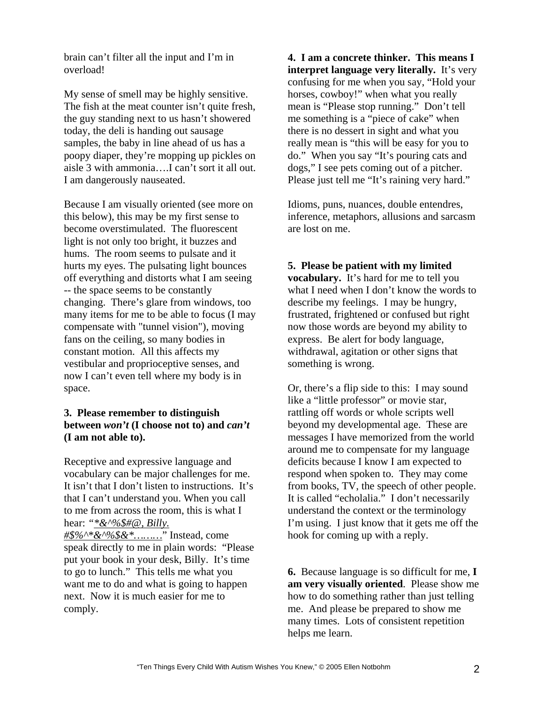brain can't filter all the input and I'm in overload!

My sense of smell may be highly sensitive. The fish at the meat counter isn't quite fresh, the guy standing next to us hasn't showered today, the deli is handing out sausage samples, the baby in line ahead of us has a poopy diaper, they're mopping up pickles on aisle 3 with ammonia….I can't sort it all out. I am dangerously nauseated.

Because I am visually oriented (see more on this below), this may be my first sense to become overstimulated. The fluorescent light is not only too bright, it buzzes and hums. The room seems to pulsate and it hurts my eyes. The pulsating light bounces off everything and distorts what I am seeing -- the space seems to be constantly changing. There's glare from windows, too many items for me to be able to focus (I may compensate with "tunnel vision"), moving fans on the ceiling, so many bodies in constant motion. All this affects my vestibular and proprioceptive senses, and now I can't even tell where my body is in space.

## **3. Please remember to distinguish between** *won't* **(I choose not to) and** *can't*  **(I am not able to).**

Receptive and expressive language and vocabulary can be major challenges for me. It isn't that I don't listen to instructions. It's that I can't understand you. When you call to me from across the room, this is what I hear: *"[\\*&^%\\$#@, Billy.](mailto:*&%5e%25$#@, Billy.  #$%^&*���)* 

*[#\\$%^\\*&^%\\$&\\*………](mailto:*&%5e%25$#@, Billy.  #$%^&*���)*" Instead, come speak directly to me in plain words: "Please put your book in your desk, Billy. It's time to go to lunch." This tells me what you want me to do and what is going to happen next. Now it is much easier for me to comply.

**4. I am a concrete thinker. This means I interpret language very literally.** It's very confusing for me when you say, "Hold your horses, cowboy!" when what you really mean is "Please stop running." Don't tell me something is a "piece of cake" when there is no dessert in sight and what you really mean is "this will be easy for you to do." When you say "It's pouring cats and dogs," I see pets coming out of a pitcher. Please just tell me "It's raining very hard."

Idioms, puns, nuances, double entendres, inference, metaphors, allusions and sarcasm are lost on me.

#### **5. Please be patient with my limited**

**vocabulary.** It's hard for me to tell you what I need when I don't know the words to describe my feelings. I may be hungry, frustrated, frightened or confused but right now those words are beyond my ability to express. Be alert for body language, withdrawal, agitation or other signs that something is wrong.

Or, there's a flip side to this: I may sound like a "little professor" or movie star, rattling off words or whole scripts well beyond my developmental age. These are messages I have memorized from the world around me to compensate for my language deficits because I know I am expected to respond when spoken to. They may come from books, TV, the speech of other people. It is called "echolalia." I don't necessarily understand the context or the terminology I'm using. I just know that it gets me off the hook for coming up with a reply.

**6.** Because language is so difficult for me, **I am very visually oriented**. Please show me how to do something rather than just telling me. And please be prepared to show me many times. Lots of consistent repetition helps me learn.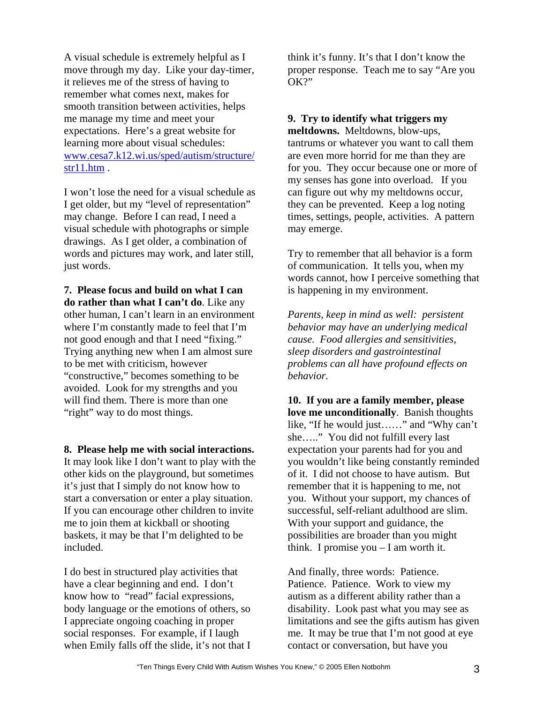A visual schedule is extremely helpful as I move through my day. Like your day-timer, it relieves me of the stress of having to remember what comes next, makes for smooth transition between activities, helps me manage my time and meet your expectations. Here's a great website for learning more about visual schedules: [www.cesa7.k12.wi.us/sped/autism/structure/](http://www.cesa7.k12.wi.us/sped/autism/structure/str11.htm) [str11.htm](http://www.cesa7.k12.wi.us/sped/autism/structure/str11.htm) .

I won't lose the need for a visual schedule as I get older, but my "level of representation" may change. Before I can read, I need a visual schedule with photographs or simple drawings. As I get older, a combination of words and pictures may work, and later still, just words.

**7. Please focus and build on what I can do rather than what I can't do**. Like any other human, I can't learn in an environment where I'm constantly made to feel that I'm not good enough and that I need "fixing." Trying anything new when I am almost sure to be met with criticism, however "constructive," becomes something to be avoided. Look for my strengths and you will find them. There is more than one "right" way to do most things.

## **8. Please help me with social interactions.**

It may look like I don't want to play with the other kids on the playground, but sometimes it's just that I simply do not know how to start a conversation or enter a play situation. If you can encourage other children to invite me to join them at kickball or shooting baskets, it may be that I'm delighted to be included.

I do best in structured play activities that have a clear beginning and end. I don't know how to "read" facial expressions, body language or the emotions of others, so I appreciate ongoing coaching in proper social responses. For example, if I laugh when Emily falls off the slide, it's not that I think it's funny. It's that I don't know the proper response. Teach me to say "Are you OK?"

## **9. Try to identify what triggers my**

**meltdowns.** Meltdowns, blow-ups, tantrums or whatever you want to call them are even more horrid for me than they are for you. They occur because one or more of my senses has gone into overload. If you can figure out why my meltdowns occur, they can be prevented. Keep a log noting times, settings, people, activities. A pattern may emerge.

Try to remember that all behavior is a form of communication. It tells you, when my words cannot, how I perceive something that is happening in my environment.

*Parents, keep in mind as well: persistent behavior may have an underlying medical cause. Food allergies and sensitivities, sleep disorders and gastrointestinal problems can all have profound effects on behavior.* 

**10. If you are a family member, please love me unconditionally**. Banish thoughts like, "If he would just……" and "Why can't she….." You did not fulfill every last expectation your parents had for you and you wouldn't like being constantly reminded of it. I did not choose to have autism. But remember that it is happening to me, not you. Without your support, my chances of successful, self-reliant adulthood are slim. With your support and guidance, the possibilities are broader than you might think. I promise you – I am worth it.

And finally, three words: Patience. Patience. Patience. Work to view my autism as a different ability rather than a disability. Look past what you may see as limitations and see the gifts autism has given me. It may be true that I'm not good at eye contact or conversation, but have you